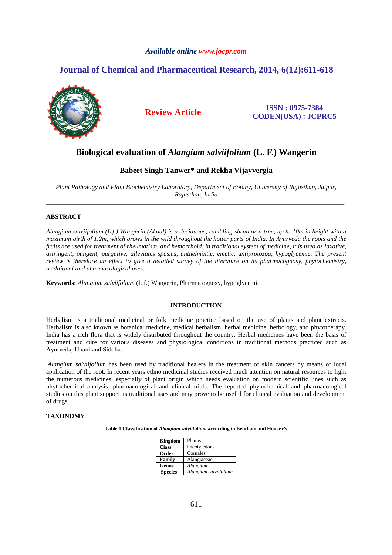## *Available online www.jocpr.com*

# **Journal of Chemical and Pharmaceutical Research, 2014, 6(12):611-618**



**Review Article ISSN : 0975-7384 CODEN(USA) : JCPRC5**

# **Biological evaluation of** *Alangium salviifolium* **(L. F.) Wangerin**

## **Babeet Singh Tanwer\* and Rekha Vijayvergia**

*Plant Pathology and Plant Biochemistry Laboratory, Department of Botany, University of Rajasthan, Jaipur, Rajasthan, India*  \_\_\_\_\_\_\_\_\_\_\_\_\_\_\_\_\_\_\_\_\_\_\_\_\_\_\_\_\_\_\_\_\_\_\_\_\_\_\_\_\_\_\_\_\_\_\_\_\_\_\_\_\_\_\_\_\_\_\_\_\_\_\_\_\_\_\_\_\_\_\_\_\_\_\_\_\_\_\_\_\_\_\_\_\_\_\_\_\_\_\_\_\_

## **ABSTRACT**

*Alangium salviifolium (L.f.) Wangerin (Akoul) is a deciduous, rambling shrub or a tree, up to 10m in height with a maximum girth of 1.2m, which grows in the wild throughout the hotter parts of India. In Ayurveda the roots and the fruits are used for treatment of rheumatism, and hemorrhoid. In traditional system of medicine, it is used as laxative, astringent, pungent, purgative, alleviates spasms, anthelmintic, emetic, antiprotozoa, hypoglycemic. The present review is therefore an effect to give a detailed survey of the literature on its pharmacognosy, phytochemistry, traditional and pharmacological uses.* 

**Keywords:** *Alangium salviifolium* (L.f.) Wangerin, Pharmacognosy, hypoglycemic.

### **INTRODUCTION**

\_\_\_\_\_\_\_\_\_\_\_\_\_\_\_\_\_\_\_\_\_\_\_\_\_\_\_\_\_\_\_\_\_\_\_\_\_\_\_\_\_\_\_\_\_\_\_\_\_\_\_\_\_\_\_\_\_\_\_\_\_\_\_\_\_\_\_\_\_\_\_\_\_\_\_\_\_\_\_\_\_\_\_\_\_\_\_\_\_\_\_\_\_

Herbalism is a traditional medicinal or folk medicine practice based on the use of plants and plant extracts. Herbalism is also known as botanical medicine, medical herbalism, herbal medicine, herbology, and phytotherapy. India has a rich flora that is widely distributed throughout the country. Herbal medicines have been the basis of treatment and cure for various diseases and physiological conditions in traditional methods practiced such as Ayurveda, Unani and Siddha.

*Alangium salviifolium* has been used by traditional healers in the treatment of skin cancers by means of local application of the root. In recent years ethno medicinal studies received much attention on natural resources to light the numerous medicines, especially of plant origin which needs evaluation on modern scientific lines such as phytochemical analysis, pharmacological and clinical trials. The reported phytochemical and pharmacological studies on this plant support its traditional uses and may prove to be useful for clinical evaluation and development of drugs.

## **TAXONOMY**

**Table 1 Classification of** *Alangium salviifolium* **according to Bentham and Hooker's** 

| Kingdom        | Plantea               |
|----------------|-----------------------|
| <b>Class</b>   | Dicotyledons          |
| Order          | Cornales              |
| Family         | Alangiaceae           |
| Genus          | Alangium              |
| <b>Species</b> | Alangium salviifolium |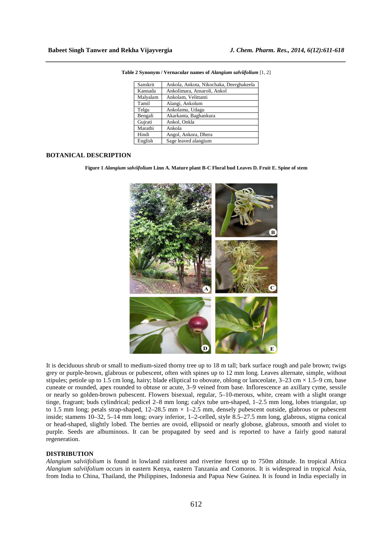| Sanskrit | Ankola, Ankota, Nikochaka, Deerghakeela |
|----------|-----------------------------------------|
| Kannada  | Ankolimara, Ansaroli, Ankol             |
| Malyalam | Ankolam, Velittanti                     |
| Tamil    | Alangi, Ankolum                         |
| Telgu    | Ankolamu, Udagu                         |
| Bengali  | Akarkanta, Baghankura                   |
| Gujrati  | Ankol, Onkla                            |
| Marathi  | Ankola                                  |
| Hindi    | Angol, Ankora, Dhera                    |
| English  | Sage leaved alangium                    |

**Table 2 Synonym / Vernacular names of** *Alangium salviifolium* [1, 2]

*\_\_\_\_\_\_\_\_\_\_\_\_\_\_\_\_\_\_\_\_\_\_\_\_\_\_\_\_\_\_\_\_\_\_\_\_\_\_\_\_\_\_\_\_\_\_\_\_\_\_\_\_\_\_\_\_\_\_\_\_\_\_\_\_\_\_\_\_\_\_\_\_\_\_\_\_\_\_*

## **BOTANICAL DESCRIPTION**

**Figure 1** *Alangium salviifolium* **Linn A. Mature plant B-C Floral bud Leaves D. Fruit E. Spine of stem** 



It is deciduous shrub or small to medium-sized thorny tree up to 18 m tall; bark surface rough and pale brown; twigs grey or purple-brown, glabrous or pubescent, often with spines up to 12 mm long. Leaves alternate, simple, without stipules; petiole up to 1.5 cm long, hairy; blade elliptical to obovate, oblong or lanceolate,  $3-23$  cm  $\times$  1.5–9 cm, base cuneate or rounded, apex rounded to obtuse or acute, 3–9 veined from base. Inflorescence an axillary cyme, sessile or nearly so golden-brown pubescent. Flowers bisexual, regular, 5–10-merous, white, cream with a slight orange tinge, fragrant; buds cylindrical; pedicel 2–8 mm long; calyx tube urn-shaped, 1–2.5 mm long, lobes triangular, up to 1.5 mm long; petals strap-shaped, 12–28.5 mm  $\times$  1–2.5 mm, densely pubescent outside, glabrous or pubescent inside; stamens 10–32, 5–14 mm long; ovary inferior, 1–2-celled, style 8.5–27.5 mm long, glabrous, stigma conical or head-shaped, slightly lobed. The berries are ovoid, ellipsoid or nearly globose, glabrous, smooth and violet to purple. Seeds are albuminous. It can be propagated by seed and is reported to have a fairly good natural regeneration.

## **DISTRIBUTION**

*Alangium salviifolium* is found in lowland rainforest and riverine forest up to 750m altitude. In tropical Africa *Alangium salviifolium* occurs in eastern Kenya, eastern Tanzania and Comoros. It is widespread in tropical Asia, from India to China, Thailand, the Philippines, Indonesia and Papua New Guinea. It is found in India especially in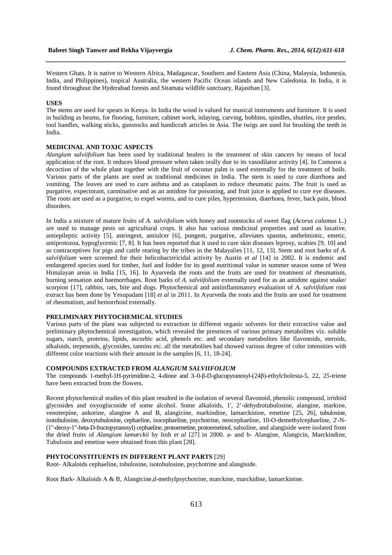Western Ghats. It is native to Western Africa, Madagascar, Southern and Eastern Asia (China, Malaysia, Indonesia, India, and Philippines), tropical Australia, the western Pacific Ocean islands and New Caledonia. In India, it is found throughout the Hyderabad forests and Sitamata wildlife sanctuary, Rajasthan [3].

*\_\_\_\_\_\_\_\_\_\_\_\_\_\_\_\_\_\_\_\_\_\_\_\_\_\_\_\_\_\_\_\_\_\_\_\_\_\_\_\_\_\_\_\_\_\_\_\_\_\_\_\_\_\_\_\_\_\_\_\_\_\_\_\_\_\_\_\_\_\_\_\_\_\_\_\_\_\_*

#### **USES**

The stems are used for spears in Kenya. In India the wood is valued for musical instruments and furniture. It is used in building as beams, for flooring, furniture, cabinet work, inlaying, carving, bobbins, spindles, shuttles, rice pestles, tool handles, walking sticks, gunstocks and handicraft articles in Asia. The twigs are used for brushing the teeth in India.

# **MEDICINAL AND TOXIC ASPECTS**

*Alangium salviifolium* has been used by traditional healers in the treatment of skin cancers by means of local application of the root. It reduces blood pressure when taken orally due to its vasodilator activity [4]. In Comoros a decoction of the whole plant together with the fruit of coconut palm is used externally for the treatment of boils. Various parts of the plants are used as traditional medicines in India. The stem is used to cure diarrhoea and vomiting. The leaves are used to cure asthma and as cataplasm to reduce rheumatic pains. The fruit is used as purgative, expectorant, carminative and as an antidote for poisoning, and fruit juice is applied to cure eye diseases. The roots are used as a purgative, to expel worms, and to cure piles, hypertension, diarrhoea, fever, back pain, blood disorders.

In India a mixture of mature fruits of *A. salviifolium* with honey and rootstocks of sweet flag (*Acorus calamus* L.) are used to manage pests on agricultural crops. It also has various medicinal properties and used as laxative, antiepileptic activity [5], astringent, antiulcer [6], pungent, purgative, alleviates spasms, anthelmintic, emetic, antiprotozoa, hypoglycemic [7, 8]. It has been reported that it used to cure skin diseases leprosy, scabies [9, 10] and as contraceptives for pigs and cattle rearing by the tribes in the Malayalies [11, 12, 13]. Stem and root barks of *A. salviifolium* were screened for their helicobactericidal activity by Austin *et al* [14] in 2002. It is endemic and endangered species used for timber, fuel and fodder for its good nutritional value in summer season some of West Himalayan areas in India [15, 16]. In Ayurveda the roots and the fruits are used for treatment of rheumatism, burning sensation and haemorrhages. Root barks of *A. salviifolium* externally used for as an antidote against snake/ scorpion [17], rabbits, rats, bite and dogs. Phytochemical and antiinflammatory evaluation of *A. salviifolium* root extract has been done by Yesupadam [18] *et al* in 2011. In Ayurveda the roots and the fruits are used for treatment of rheumatism, and hemorrhoid externally.

## **PRELIMINARY PHYTOCHEMICAL STUDIES**

Various parts of the plant was subjected to extraction in different organic solvents for their extractive value and preliminary phytochemical investigation, which revealed the presences of various primary metabolites viz. soluble sugars, starch, proteins, lipids, ascorbic acid, phenols etc. and secondary metabolites like flavonoids, steroids, alkaloids, terpenoids, glycosides, tannins etc. all the metabolites had showed various degree of color intensities with different color reactions with their amount in the samples [6, 11, 18-24].

#### **COMPOUNDS EXTRACTED FROM** *ALANGIUM SALVIIFOLIUM*

The compounds 1-methyl-1H-pyrimidine-2, 4-dione and 3–0-β-D-glucopyranosyl-(24β)-ethylcholesta-5, 22, 25-triene have been extracted from the flowers.

Recent phytochemical studies of this plant resulted in the isolation of several flavonoid, phenolic compound, irridoid glycosides and oxyoglucoside of some alcohol. Some alkaloids, 1', 2'-dehydrotubulosine, alangine, markine, venoterpine, ankorine, alangine A and B, alangicine, markindine, lamarckinine, emetine [25, 26], tubulosine, isotubulosine, deoxytubulosine, cephaeline, isocephaeline, psychotrine, neocephaeline, 10-O-demethylcephaeline, 2'-N- (1"-deoxy-1"-beta-D-fructopyranosyl) cephaeline, protoemetine, protoemetinol, salsoline, and alangiside were isolated from the dried fruits of *Alangium lamarckii* by Itoh *et al* [27] in 2000. a- and b- Alangine, Alangicin, Marckindine, Tubulosin and emetine were obtained from this plant [28].

#### **PHYTOCONSTITUENTS IN DIFFERENT PLANT PARTS** [29]

Root- Alkaloids cephaeline, tobulosine, isotobulosine, psychotrine and alangiside.

Root Bark- Alkaloids A & B, Alangicine,d-methylpsychotrine, marckine, marckidine, lamarckinine.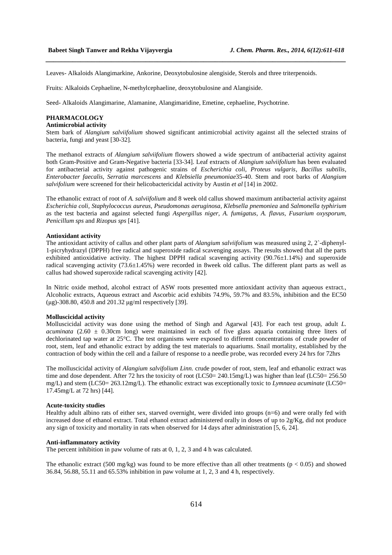Leaves- Alkaloids Alangimarkine, Ankorine, Deoxytobulosine alengiside, Sterols and three triterpenoids.

Fruits: Alkaloids Cephaeline, N-methylcephaeline, deoxytobulosine and Alangiside.

Seed- Alkaloids Alangimarine, Alamanine, Alangimaridine, Emetine, cephaeline, Psychotrine.

#### **PHARMACOLOGY**

## **Antimicrobial activity**

Stem bark of *Alangium salviifolium* showed significant antimicrobial activity against all the selected strains of bacteria, fungi and yeast [30-32]*.* 

*\_\_\_\_\_\_\_\_\_\_\_\_\_\_\_\_\_\_\_\_\_\_\_\_\_\_\_\_\_\_\_\_\_\_\_\_\_\_\_\_\_\_\_\_\_\_\_\_\_\_\_\_\_\_\_\_\_\_\_\_\_\_\_\_\_\_\_\_\_\_\_\_\_\_\_\_\_\_*

The methanol extracts of *Alangium salviifolium* flowers showed a wide spectrum of antibacterial activity against both Gram-Positive and Gram-Negative bacteria [33-34]. Leaf extracts of *Alangium salviifolium* has been evaluated for antibacterial activity against pathogenic strains of *Escherichia coli, Proteus vulgaris, Bacillus subtilis, Enterobacter faecalis, Serratia marcescens* and *Klebsiella pneumoniae*35-40. Stem and root barks of *Alangium salvifolium* were screened for their helicobactericidal activity by Austin *et al* [14] in 2002.

The ethanolic extract of root of *A. salviifolium* and 8 week old callus showed maximum antibacterial activity against *Escherichia coli, Staphylococcus aureus, Pseudomonas aeruginosa, Klebsella pnemoniea* and *Salmonella typhirium* as the test bacteria and against selected fungi *Aspergillus niger, A. fumigatus, A. flavus, Fusarium oxysporum, Penicillum sps* and *Rizopus sps* [41].

#### **Antioxidant activity**

The antioxidant activity of callus and other plant parts of *Alangium salviifolium* was measured using 2, 2`-diphenyl-1-picryhydrazyl (DPPH) free radical and superoxide radical scavenging assays. The results showed that all the parts exhibited antioxidative activity. The highest DPPH radical scavenging activity (90.76±1.14%) and superoxide radical scavenging activity (73.6±1.45%) were recorded in 8week old callus. The different plant parts as well as callus had showed superoxide radical scavenging activity [42].

In Nitric oxide method, alcohol extract of ASW roots presented more antioxidant activity than aqueous extract., Alcoholic extracts, Aqueous extract and Ascorbic acid exhibits 74.9%, 59.7% and 83.5%, inhibition and the EC50 (µg)-308.80, 450.8 and 201.32 µg/ml respectively [39].

#### **Molluscicidal activity**

Molluscicidal activity was done using the method of Singh and Agarwal [43]. For each test group, adult *L. acuminata*  $(2.60 \pm 0.30 \text{cm}$  long) were maintained in each of five glass aquaria containing three liters of dechlorinated tap water at 25°C. The test organisms were exposed to different concentrations of crude powder of root, stem, leaf and ethanolic extract by adding the test materials to aquariums. Snail mortality, established by the contraction of body within the cell and a failure of response to a needle probe, was recorded every 24 hrs for 72hrs

The molluscicidal activity of *Alangium salvifolium Linn.* crude powder of root, stem, leaf and ethanolic extract was time and dose dependent. After 72 hrs the toxicity of root (LC50= 240.15mg/L) was higher than leaf (LC50= 256.50 mg/L) and stem (LC50= 263.12mg/L). The ethanolic extract was exceptionally toxic to *Lymnaea acuminate* (LC50= 17.45mg/L at 72 hrs) [44].

#### **Acute-toxicity studies**

Healthy adult albino rats of either sex, starved overnight, were divided into groups (n=6) and were orally fed with increased dose of ethanol extract. Total ethanol extract administered orally in doses of up to 2g/Kg, did not produce any sign of toxicity and mortality in rats when observed for 14 days after administration [5, 6, 24].

#### **Anti-inflammatory activity**

The percent inhibition in paw volume of rats at 0, 1, 2, 3 and 4 h was calculated.

The ethanolic extract (500 mg/kg) was found to be more effective than all other treatments ( $p < 0.05$ ) and showed 36.84, 56.88, 55.11 and 65.53% inhibition in paw volume at 1, 2, 3 and 4 h, respectively.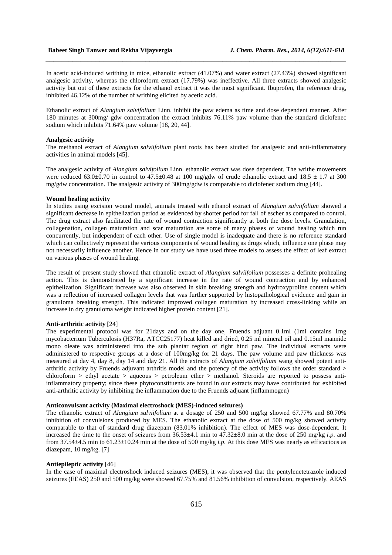In acetic acid-induced writhing in mice, ethanolic extract (41.07%) and water extract (27.43%) showed significant analgesic activity, whereas the chloroform extract (17.79%) was ineffective. All three extracts showed analgesic activity but out of these extracts for the ethanol extract it was the most significant. Ibuprofen, the reference drug, inhibited 46.12% of the number of writhing elicited by acetic acid.

*\_\_\_\_\_\_\_\_\_\_\_\_\_\_\_\_\_\_\_\_\_\_\_\_\_\_\_\_\_\_\_\_\_\_\_\_\_\_\_\_\_\_\_\_\_\_\_\_\_\_\_\_\_\_\_\_\_\_\_\_\_\_\_\_\_\_\_\_\_\_\_\_\_\_\_\_\_\_*

Ethanolic extract of *Alangium salvifolium* Linn. inhibit the paw edema as time and dose dependent manner. After 180 minutes at 300mg/ gdw concentration the extract inhibits 76.11% paw volume than the standard diclofenec sodium which inhibits 71.64% paw volume [18, 20, 44].

#### **Analgesic activity**

The methanol extract of *Alangium salviifolium* plant roots has been studied for analgesic and anti-inflammatory activities in animal models [45].

The analgesic activity of *Alangium salvifolium* Linn. ethanolic extract was dose dependent. The writhe movements were reduced 63.0 $\pm$ 0.70 in control to 47.5 $\pm$ 0.48 at 100 mg/gdw of crude ethanolic extract and 18.5  $\pm$  1.7 at 300 mg/gdw concentration. The analgesic activity of 300mg/gdw is comparable to diclofenec sodium drug [44].

### **Wound healing activity**

In studies using excision wound model, animals treated with ethanol extract of *Alangium salviifolium* showed a significant decrease in epithelization period as evidenced by shorter period for fall of escher as compared to control. The drug extract also facilitated the rate of wound contraction significantly at both the dose levels. Granulation, collagenation, collagen maturation and scar maturation are some of many phases of wound healing which run concurrently, but independent of each other. Use of single model is inadequate and there is no reference standard which can collectively represent the various components of wound healing as drugs which, influence one phase may not necessarily influence another. Hence in our study we have used three models to assess the effect of leaf extract on various phases of wound healing.

The result of present study showed that ethanolic extract of *Alangium salviifolium* possesses a definite prohealing action. This is demonstrated by a significant increase in the rate of wound contraction and by enhanced epithelization. Significant increase was also observed in skin breaking strength and hydroxyproline content which was a reflection of increased collagen levels that was further supported by histopathological evidence and gain in granuloma breaking strength. This indicated improved collagen maturation by increased cross-linking while an increase in dry granuloma weight indicated higher protein content [21].

#### **Anti-arthritic activity** [24]

The experimental protocol was for 21days and on the day one, Fruends adjuant 0.1ml (1ml contains 1mg mycobacterium Tuberculosis (H37Ra, ATCC25177) heat killed and dried, 0.25 ml mineral oil and 0.15ml mannide mono oleate was administered into the sub plantar region of right hind paw. The individual extracts were administered to respective groups at a dose of 100mg/kg for 21 days. The paw volume and paw thickness was measured at day 4, day 8, day 14 and day 21. All the extracts of *Alangium salviifolium* wang showed potent antiarthritic activity by Fruends adjuvant arthritis model and the potency of the activity follows the order standard > chloroform > ethyl acetate > aqueous > petroleum ether > methanol. Steroids are reported to possess antiinflammatory property; since these phytoconstituents are found in our extracts may have contributed for exhibited anti-arthritic activity by inhibiting the inflammation due to the Fruends adjuant (inflammogen)

## **Anticonvulsant activity (Maximal electroshock (MES)-induced seizures)**

The ethanolic extract of *Alangium salviifolium* at a dosage of 250 and 500 mg/kg showed 67.77% and 80.70% inhibition of convulsions produced by MES. The ethanolic extract at the dose of 500 mg/kg showed activity comparable to that of standard drug diazepam (83.01% inhibition). The effect of MES was dose-dependent. It increased the time to the onset of seizures from 36.53±4.1 min to 47.32±8.0 min at the dose of 250 mg/kg *i.p*. and from 37.54±4.5 min to 61.23±10.24 min at the dose of 500 mg/kg *i.p.* At this dose MES was nearly as efficacious as diazepam, 10 mg/kg. [7]

#### **Antiepileptic activity** [46]

In the case of maximal electroshock induced seizures (MES), it was observed that the pentylenetetrazole induced seizures (EEAS) 250 and 500 mg/kg were showed 67.75% and 81.56% inhibition of convulsion, respectively. AEAS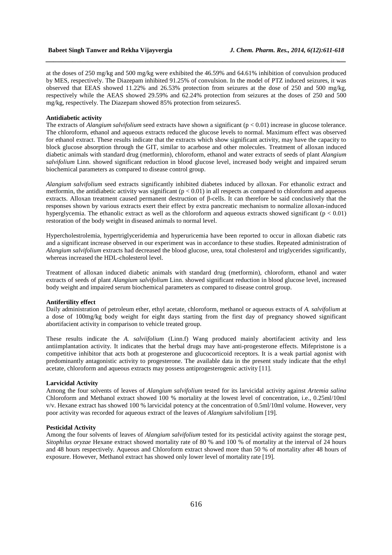at the doses of 250 mg/kg and 500 mg/kg were exhibited the 46.59% and 64.61% inhibition of convulsion produced by MES, respectively. The Diazepam inhibited 91.25% of convulsion. In the model of PTZ induced seizures, it was observed that EEAS showed 11.22% and 26.53% protection from seizures at the dose of 250 and 500 mg/kg, respectively while the AEAS showed 29.59% and 62.24% protection from seizures at the doses of 250 and 500 mg/kg, respectively. The Diazepam showed 85% protection from seizures5.

*\_\_\_\_\_\_\_\_\_\_\_\_\_\_\_\_\_\_\_\_\_\_\_\_\_\_\_\_\_\_\_\_\_\_\_\_\_\_\_\_\_\_\_\_\_\_\_\_\_\_\_\_\_\_\_\_\_\_\_\_\_\_\_\_\_\_\_\_\_\_\_\_\_\_\_\_\_\_*

#### **Antidiabetic activity**

The extracts of *Alangium salvifolium* seed extracts have shown a significant ( $p < 0.01$ ) increase in glucose tolerance. The chloroform, ethanol and aqueous extracts reduced the glucose levels to normal. Maximum effect was observed for ethanol extract. These results indicate that the extracts which show significant activity, may have the capacity to block glucose absorption through the GIT, similar to acarbose and other molecules. Treatment of alloxan induced diabetic animals with standard drug (metformin), chloroform, ethanol and water extracts of seeds of plant *Alangium salvifolium* Linn. showed significant reduction in blood glucose level, increased body weight and impaired serum biochemical parameters as compared to disease control group.

*Alangium salvifolium* seed extracts significantly inhibited diabetes induced by alloxan. For ethanolic extract and metformin, the antidiabetic activity was significant  $(p < 0.01)$  in all respects as compared to chloroform and aqueous extracts. Alloxan treatment caused permanent destruction of β-cells. It can therefore be said conclusively that the responses shown by various extracts exert their effect by extra pancreatic mechanism to normalize alloxan-induced hyperglycemia. The ethanolic extract as well as the chloroform and aqueous extracts showed significant ( $p < 0.01$ ) restoration of the body weight in diseased animals to normal level.

Hypercholestrolemia, hypertriglyceridemia and hyperuricemia have been reported to occur in alloxan diabetic rats and a significant increase observed in our experiment was in accordance to these studies. Repeated administration of *Alangium salvifolium* extracts had decreased the blood glucose, urea, total cholesterol and triglycerides significantly, whereas increased the HDL-cholesterol level.

Treatment of alloxan induced diabetic animals with standard drug (metformin), chloroform, ethanol and water extracts of seeds of plant *Alangium salvifolium* Linn. showed significant reduction in blood glucose level, increased body weight and impaired serum biochemical parameters as compared to disease control group.

## **Antifertility effect**

Daily administration of petroleum ether, ethyl acetate, chloroform, methanol or aqueous extracts of *A. salvifolium* at a dose of 100mg/kg body weight for eight days starting from the first day of pregnancy showed significant abortifacient activity in comparison to vehicle treated group.

These results indicate the *A. salviifolium* (Linn.f) Wang produced mainly abortifacient activity and less antiimplantation activity. It indicates that the herbal drugs may have anti-progesterone effects. Mifepristone is a competitive inhibitor that acts both at progesterone and glucocorticoid receptors. It is a weak partial agonist with predominantly antagonistic activity to progesterone. The available data in the present study indicate that the ethyl acetate, chloroform and aqueous extracts may possess antiprogesterogenic activity [11].

#### **Larvicidal Activity**

Among the four solvents of leaves of *Alangium salvifolium* tested for its larvicidal activity against *Artemia salina*  Chloroform and Methanol extract showed 100 % mortality at the lowest level of concentration, i.e., 0.25ml/10ml v/v. Hexane extract has showed 100 % larvicidal potency at the concentration of 0.5ml/10ml volume. However, very poor activity was recorded for aqueous extract of the leaves of *Alangium* salvifolium [19]*.* 

#### **Pesticidal Activity**

Among the four solvents of leaves of *Alangium salvifolium* tested for its pesticidal activity against the storage pest, *Sitophilus oryzae* Hexane extract showed mortality rate of 80 % and 100 % of mortality at the interval of 24 hours and 48 hours respectively. Aqueous and Chloroform extract showed more than 50 % of mortality after 48 hours of exposure. However, Methanol extract has showed only lower level of mortality rate [19].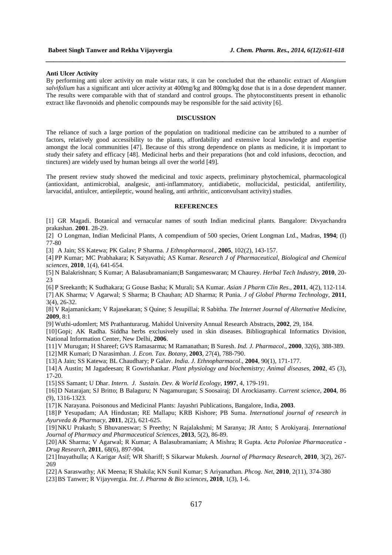#### **Anti Ulcer Activity**

By performing anti ulcer activity on male wistar rats, it can be concluded that the ethanolic extract of *Alangium salvifolium* has a significant anti ulcer activity at 400mg/kg and 800mg/kg dose that is in a dose dependent manner. The results were comparable with that of standard and control groups. The phytoconstituents present in ethanolic extract like flavonoids and phenolic compounds may be responsible for the said activity [6].

*\_\_\_\_\_\_\_\_\_\_\_\_\_\_\_\_\_\_\_\_\_\_\_\_\_\_\_\_\_\_\_\_\_\_\_\_\_\_\_\_\_\_\_\_\_\_\_\_\_\_\_\_\_\_\_\_\_\_\_\_\_\_\_\_\_\_\_\_\_\_\_\_\_\_\_\_\_\_*

#### **DISCUSSION**

The reliance of such a large portion of the population on traditional medicine can be attributed to a number of factors, relatively good accessibility to the plants, affordability and extensive local knowledge and expertise amongst the local communities [47]. Because of this strong dependence on plants as medicine, it is important to study their safety and efficacy [48]. Medicinal herbs and their preparations (hot and cold infusions, decoction, and tinctures) are widely used by human beings all over the world [49].

The present review study showed the medicinal and toxic aspects, preliminary phytochemical, pharmacological (antioxidant, antimicrobial, analgesic, anti-inflammatory, antidiabetic, mollucicidal, pesticidal, antifertility, larvacidal, antiulcer, antiepileptic, wound healing, anti arthritic, anticonvulsant activity) studies.

### **REFERENCES**

[1] GR Magadi. Botanical and vernacular names of south Indian medicinal plants. Bangalore: Divyachandra prakashan. **2001**. 28-29.

[2] O Longman, Indian Medicinal Plants, A compendium of 500 species, Orient Longman Ltd., Madras, **1994**; (I) 77-80

[3] A Jain; SS Katewa; PK Galav; P Sharma. *J Ethnopharmacol*., **2005**, 102(2), 143-157.

[4] PP Kumar; MC Prabhakara; K Satyavathi; AS Kumar. *Research J of Pharmaceutical, Biological and Chemical sciences,* **2010**, 1(4), 641-654.

[5] N Balakrishnan; S Kumar; A Balasubramaniam;B Sangameswaran; M Chaurey. *Herbal Tech Industry*, **2010**, 20-  $23$ 

[6] P Sreekanth; K Sudhakara; G Gouse Basha; K Murali; SA Kumar. *Asian J Pharm Clin Res*.*,* **2011**, 4(2), 112-114. [7] AK Sharma; V Agarwal; S Sharma; B Chauhan; AD Sharma; R Punia. *J of Global Pharma Technology*, **2011**, 3(4), 26-32.

[8] V Rajamanickam; V Rajasekaran; S Quine; S Jesupillai; R Sabitha. *The Internet Journal of Alternative Medicine*, **2009**, 8:1

[9] Wuthi-udomlert; MS Prathanturarug. Mahidol University Annual Research Abstracts, **2002**, 29, 184.

[10]Gopi; AK Radha. Siddha herbs exclusively used in skin diseases. Bibliographical Informatics Division, National Information Center, New Delhi, **2006**.

[11]V Murugan; H Shareef; GVS Ramasarma; M Ramanathan; B Suresh. *Ind. J. Pharmacol.,* **2000**, 32(6), 388-389. [12]MR Kumari; D Narasimhan. *J. Econ. Tax. Botany*, **2003**, 27(4), 788-790.

[13]A Jain; SS Katewa; BL Chaudhary; P Galav. *India. J. Ethnopharmacol*., **2004**, 90(1), 171-177.

[14]A Austin; M Jagadeesan; R Gowrishankar. *Plant physiology and biochemistry; Animal diseases*, **2002**, 45 (3), 17-20.

[15]SS Samant; U Dhar. *Intern. J. Sustain. Dev. & World Ecology*, **1997**, 4, 179-191.

[16]D Natarajan; SJ Britto; B Balaguru; N Nagamurugan; S Soosairaj; DI Arockiasamy. *Current science*, **2004**, 86 (9), 1316-1323.

[17]K Narayana. Poisonous and Medicinal Plants: Jayashri Publications, Bangalore, India, **2003**.

[18]P Yesupadam; AA Hindustan; RE Mallapu; KRB Kishore; PB Suma. *International journal of research in Ayurveda & Pharmacy*, **2011**, 2(2), 621-625.

[19]NKU Prakash; S Bhuvaneswar; S Preethy; N Rajalakshmi; M Saranya; JR Anto; S Arokiyaraj. *International Journal of Pharmacy and Pharmaceutical Sciences,* **2013**, 5(2), 86-89.

[20]AK Sharma; V Agarwal; R Kumar; A Balasubramaniam; A Mishra; R Gupta. *Acta Poloniae Pharmaceutica - Drug Research,* **2011**, 68(6), 897-904.

[21]Inayathulla; A Karigar Asif; WR Shariff; S Sikarwar Mukesh. *Journal of Pharmacy Research*, **2010**, 3(2), 267- 269

[22]A Saraswathy; AK Meena; R Shakila; KN Sunil Kumar; S Ariyanathan*. Phcog. Net*, **2010**, 2(11), 374-380

[23]BS Tanwer; R Vijayvergia. *Int. J. Pharma & Bio sciences,* **2010**, 1(3), 1-6.